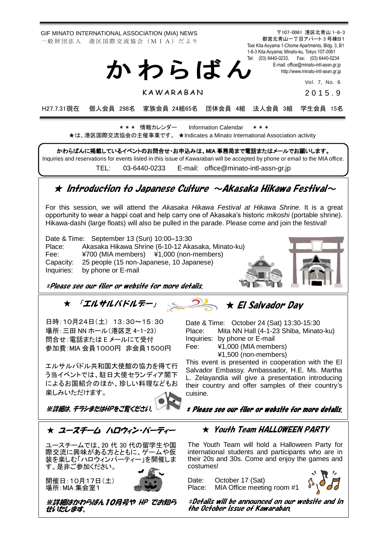GIF MINATO INTERNATIONAL ASSOCIATION (MIA) NEWS 一 般 財 団 法 人 港 区 国 際 交 流 協 会 (M I A) だ よ り

都営北青山一丁目アパート 3 号棟B1 Toei Kita Aoyama 1-Chome Apartments, Bldg. 3, B1 1-6-3 Kita Aoyama; Minato-ku, Tokyo 107-0061 Tel: (03) 6440-0233, Fax: (03) 6440-0234 E-mail[: office@minato-intl-assn.gr.jp](mailto:office@minato-intl-assn.gr.jp) [http://www.minato-intl-assn.gr.jp](http://www.minato-intl-assn.gr.jp/) か わ ら ば ん

Vol. 7, No. 6

**KAWARABAN** 

2 0 1 5 . 9

〒107-0061 港区北青山 1-6-3

H27.7.31現在 個人会員 298名 家族会員 24組65名 団体会員 4組 法人会員 3組 学生会員 15名

\* \* \* 情報カレンダー Information Calendar \* \* \* ★は、港区国際交流協会の主催事業です。 ★Indicates a Minato International Association activity

かわらばんに掲載しているイベントのお問合せ・お申込みは、MIA 事務局まで電話またはメールでお願いします。 Inquiries and reservations for events listed in this issue of Kawaraban will be accepted by phone or email to the MIA office. TEL: [03-6440-0233](mailto:TEL:%0903-6440-0233) E-mail: [office@minato-intl-assn-gr.jp](mailto:office@minato-intl-assn-gr.jp)

## $\star$  Introduction to Japanese Culture  $\sim$ Akasaka Hikawa Festival $\sim$

For this session, we will attend the *Akasaka Hikawa Festival at Hikawa Shrine*. It is a great opportunity to wear a happi coat and help carry one of Akasaka's historic *mikoshi* (portable shrine). Hikawa-dashi (large floats) will also be pulled in the parade. Please come and join the festival!

Date & Time: September 13 (Sun) 10:00–13:30 Place: Akasaka Hikawa Shrine (6-10-12 Akasaka, Minato-ku) Fee: ¥700 (MIA members) ¥1,000 (non-members) Capacity: 25 people (15 non-Japanese, 10 Japanese) Inquiries: by phone or E-mail



\*Please see our flier or website for more details.

## ★ 「エルサルバドルデー」 ★ El Salvador Day

日時:10月24日(土) 13:30~15:30 場所:三田 NN ホール(港区芝 4-1-23) 問合せ:電話または E メールにて受付 参加費:MIA 会員1000円 非会員1500円

エルサルバドル共和国大使館の協力を得て行 う当イベントでは、駐日大使セランディア閣下 によるお国紹介のほか、珍しい料理などもお 楽しみいただけます。

Date & Time: October 24 (Sat) 13:30-15:30 Place: Mita NN Hall (4-1-23 Shiba, Minato-ku) Inquiries: by phone or E-mail Fee: ¥1,000 (MIA members)

¥1,500 (non-members)

This event is presented in cooperation with the El Salvador Embassy. Ambassador, H.E. Ms. Martha L. Zelayandia will give a presentation introducing their country and offer samples of their country's cuisine.

\* Please see our flier or website for more details.

※詳細は、チラシまたはHPをご覧ください。



ユースチームでは、20 代 30 代の留学生や国 際交流に興味がある方とともに、ゲームや仮 装を楽しむ「ハロウィンパーティー」を開催しま す。是非ご参加ください。

開催日:10月17日(土) 場所:MIA 集会室1



※詳細はかわらばん10月号や HP でお知ら せいたします。

★ Youth Team HALLOWEEN PARTY

The Youth Team will hold a Halloween Party for international students and participants who are in their 20s and 30s. Come and enjoy the games and costumes!

Date: October 17 (Sat)<br>Place: MIA Office meetir MIA Office meeting room #1



\*Details will be announced on our website and in the October issue of Kawaraban.